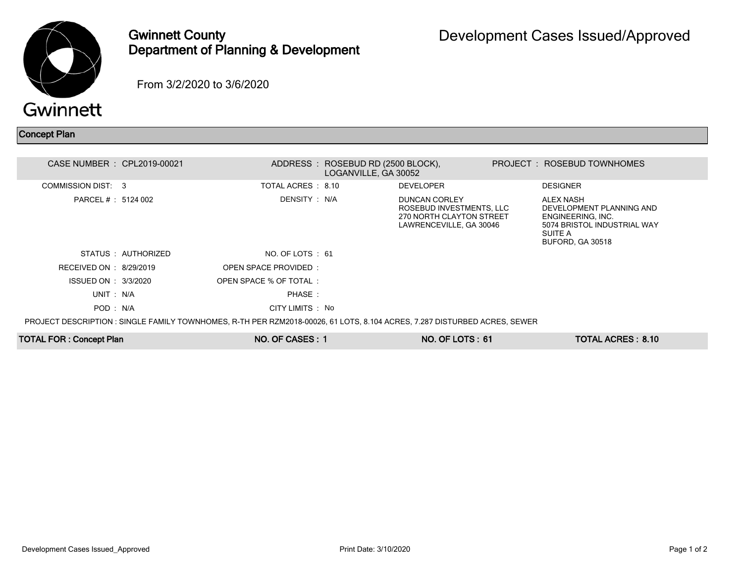

## Gwinnett County Department of Planning & Development

From 3/2/2020 to 3/6/2020

## Concept Plan

| CASE NUMBER : CPL2019-00021                                                                                               |                     |                        | ADDRESS : ROSEBUD RD (2500 BLOCK),<br>LOGANVILLE, GA 30052 |                                                                                                         |  | PROJECT: ROSEBUD TOWNHOMES                                                                                                      |  |  |  |  |  |
|---------------------------------------------------------------------------------------------------------------------------|---------------------|------------------------|------------------------------------------------------------|---------------------------------------------------------------------------------------------------------|--|---------------------------------------------------------------------------------------------------------------------------------|--|--|--|--|--|
| COMMISSION DIST: 3                                                                                                        |                     | TOTAL ACRES : 8.10     |                                                            | <b>DEVELOPER</b>                                                                                        |  | <b>DESIGNER</b>                                                                                                                 |  |  |  |  |  |
| PARCEL # : 5124 002                                                                                                       |                     | DENSITY : N/A          |                                                            | <b>DUNCAN CORLEY</b><br>ROSEBUD INVESTMENTS, LLC<br>270 NORTH CLAYTON STREET<br>LAWRENCEVILLE, GA 30046 |  | ALEX NASH<br>DEVELOPMENT PLANNING AND<br>ENGINEERING, INC.<br>5074 BRISTOL INDUSTRIAL WAY<br>SUITE A<br><b>BUFORD, GA 30518</b> |  |  |  |  |  |
|                                                                                                                           | STATUS : AUTHORIZED | NO. OF LOTS : 61       |                                                            |                                                                                                         |  |                                                                                                                                 |  |  |  |  |  |
| RECEIVED ON : $8/29/2019$                                                                                                 |                     | OPEN SPACE PROVIDED:   |                                                            |                                                                                                         |  |                                                                                                                                 |  |  |  |  |  |
| ISSUED ON : 3/3/2020                                                                                                      |                     | OPEN SPACE % OF TOTAL: |                                                            |                                                                                                         |  |                                                                                                                                 |  |  |  |  |  |
| UNIT : N/A                                                                                                                |                     | PHASE:                 |                                                            |                                                                                                         |  |                                                                                                                                 |  |  |  |  |  |
| POD: N/A                                                                                                                  |                     | CITY LIMITS : No       |                                                            |                                                                                                         |  |                                                                                                                                 |  |  |  |  |  |
| PROJECT DESCRIPTION : SINGLE FAMILY TOWNHOMES, R-TH PER RZM2018-00026, 61 LOTS, 8.104 ACRES, 7.287 DISTURBED ACRES, SEWER |                     |                        |                                                            |                                                                                                         |  |                                                                                                                                 |  |  |  |  |  |

TOTAL FOR : Concept Plan NO. OF CASES : 1 NO. OF CASES : 1 NO. OF LOTS : 61 TOTAL ACRES : 8.10